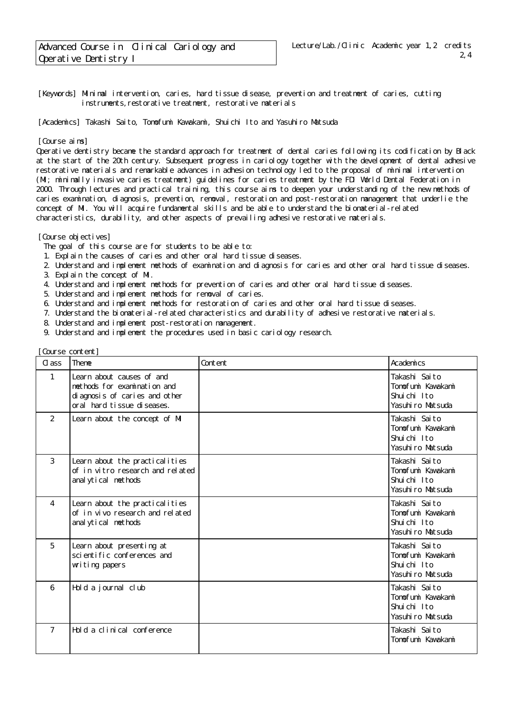[Keywords] Minimal intervention, caries, hard tissue disease, prevention and treatment of caries, cutting instruments, restorative treatment, restorative materials

[Academics] Takashi Saito, Tomofumi Kavakami, Shuichi Ito and Yasuhiro Matsuda

[Course aims]

Operative dentistry became the standard approach for treatment of dental caries following its codification by Black at the start of the 20th century. Subsequent progress in cariology together with the development of dental adhesive restorative materials and remarkable advances in adhesion technology led to the proposal of minimal intervention (MI; minimally invasive caries treatment) guidelines for caries treatment by the FDI World Dental Federation in 2000. Through lectures and practical training, this course aims to deepen your understanding of the new methods of caries examination, diagnosis, prevention, removal, restoration and post-restoration management that underlie the concept of MI. You will acquire fundamental skills and be able to understand the biomaterial-related characteristics, durability, and other aspects of prevailing adhesive restorative materials.

[Course objectives]

- The goal of this course are for students to be able to:
- 1. Explain the causes of caries and other oral hard tissue diseases.
- 2. Understand and implement methods of examination and diagnosis for caries and other oral hard tissue diseases.
- 3. Explain the concept of MI.
- 4. Understand and implement methods for prevention of caries and other oral hard tissue diseases.
- 5. Understand and implement methods for removal of caries.
- 6. Understand and implement methods for restoration of caries and other oral hard tissue diseases.
- 7. Understand the biomaterial-related characteristics and durability of adhesive restorative materials.
- 8. Understand and implement post-restoration management.
- 9. Understand and implement the procedures used in basic cariology research.

| Course content] |                                                                                                                          |         |                                                                       |  |
|-----------------|--------------------------------------------------------------------------------------------------------------------------|---------|-----------------------------------------------------------------------|--|
| $\alpha$ ass    | Theme                                                                                                                    | Content | Academics                                                             |  |
| $\mathbf{1}$    | Learn about causes of and<br>methods for examination and<br>di agnosis of caries and other<br>oral hard tissue diseases. |         | Takashi Saito<br>Tomofumi Kavakami<br>Shuichi Ito<br>Yasuhiro Matsuda |  |
| $\overline{2}$  | Learn about the concept of MI                                                                                            |         | Takashi Saito<br>Tonofuni Kavakani<br>Shuichi Ito<br>Yasuhiro Matsuda |  |
| 3               | Learn about the practicalities<br>of in vitro research and related<br>anal ytical methods                                |         | Takashi Saito<br>Tonofuni Kavakani<br>Shuichi Ito<br>Yasuhiro Matsuda |  |
| $\overline{4}$  | Learn about the practical ities<br>of in vivo research and related<br>anal ytical methods                                |         | Takashi Saito<br>Tomofumi Kawakami<br>Shuichi Ito<br>Yasuhiro Matsuda |  |
| 5               | Learn about presenting at<br>sci enti fi c conferences and<br>witing papers                                              |         | Takashi Saito<br>Tonofumi Kawakami<br>Shuichi Ito<br>Yasuhiro Matsuda |  |
| 6               | Hold a journal club                                                                                                      |         | Takashi Saito<br>Tonofuni Kavakani<br>Shuichi Ito<br>Yasuhiro Matsuda |  |
| $\overline{7}$  | Hold a clinical conference                                                                                               |         | Takashi Saito<br>Tonofuni Kavakani                                    |  |